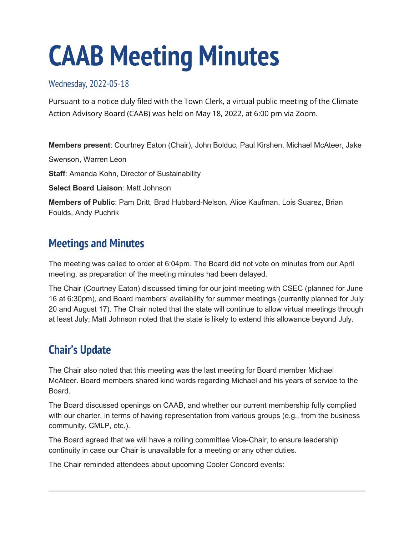# **CAAB Meeting Minutes**

Wednesday, 2022-05-18

Pursuant to a notice duly filed with the Town Clerk, a virtual public meeting of the Climate Action Advisory Board (CAAB) was held on May 18, 2022, at 6:00 pm via Zoom.

**Members present**: Courtney Eaton (Chair), John Bolduc, Paul Kirshen, Michael McAteer, Jake

Swenson, Warren Leon

**Staff**: Amanda Kohn, Director of Sustainability

**Select Board Liaison**: Matt Johnson

**Members of Public**: Pam Dritt, Brad Hubbard-Nelson, Alice Kaufman, Lois Suarez, Brian Foulds, Andy Puchrik

# **Meetings and Minutes**

The meeting was called to order at 6:04pm. The Board did not vote on minutes from our April meeting, as preparation of the meeting minutes had been delayed.

The Chair (Courtney Eaton) discussed timing for our joint meeting with CSEC (planned for June 16 at 6:30pm), and Board members' availability for summer meetings (currently planned for July 20 and August 17). The Chair noted that the state will continue to allow virtual meetings through at least July; Matt Johnson noted that the state is likely to extend this allowance beyond July.

# **Chair's Update**

The Chair also noted that this meeting was the last meeting for Board member Michael McAteer. Board members shared kind words regarding Michael and his years of service to the Board.

The Board discussed openings on CAAB, and whether our current membership fully complied with our charter, in terms of having representation from various groups (e.g., from the business community, CMLP, etc.).

The Board agreed that we will have a rolling committee Vice-Chair, to ensure leadership continuity in case our Chair is unavailable for a meeting or any other duties.

The Chair reminded attendees about upcoming Cooler Concord events: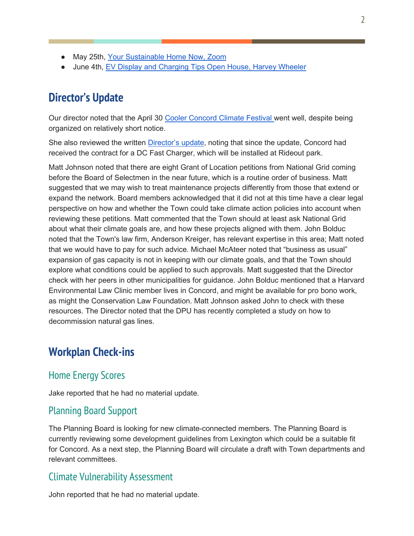- May 25th, [Your Sustainable Home Now, Zoom](https://www.coolerconcord.org/events/323)
- June 4th, [EV Display and Charging Tips Open House, Harvey Wheeler](https://www.coolerconcord.org/events/325)

## **Director's Update**

Our director noted that the April 30 [Cooler Concord Climate Festival w](https://www.coolerconcord.org/events/354)ent well, despite being organized on relatively short notice.

She also reviewed the written [Director's update,](https://concordma.gov/DocumentCenter/View/36663/Directors-Update-May-13-2022) noting that since the update, Concord had received the contract for a DC Fast Charger, which will be installed at Rideout park.

Matt Johnson noted that there are eight Grant of Location petitions from National Grid coming before the Board of Selectmen in the near future, which is a routine order of business. Matt suggested that we may wish to treat maintenance projects differently from those that extend or expand the network. Board members acknowledged that it did not at this time have a clear legal perspective on how and whether the Town could take climate action policies into account when reviewing these petitions. Matt commented that the Town should at least ask National Grid about what their climate goals are, and how these projects aligned with them. John Bolduc noted that the Town's law firm, Anderson Kreiger, has relevant expertise in this area; Matt noted that we would have to pay for such advice. Michael McAteer noted that "business as usual" expansion of gas capacity is not in keeping with our climate goals, and that the Town should explore what conditions could be applied to such approvals. Matt suggested that the Director check with her peers in other municipalities for guidance. John Bolduc mentioned that a Harvard Environmental Law Clinic member lives in Concord, and might be available for pro bono work, as might the Conservation Law Foundation. Matt Johnson asked John to check with these resources. The Director noted that the DPU has recently completed a study on how to decommission natural gas lines.

# **Workplan Check-ins**

#### Home Energy Scores

Jake reported that he had no material update.

#### Planning Board Support

The Planning Board is looking for new climate-connected members. The Planning Board is currently reviewing some development guidelines from Lexington which could be a suitable fit for Concord. As a next step, the Planning Board will circulate a draft with Town departments and relevant committees.

#### Climate Vulnerability Assessment

John reported that he had no material update.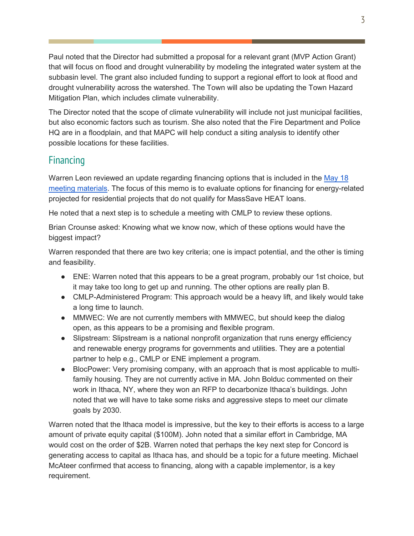Paul noted that the Director had submitted a proposal for a relevant grant (MVP Action Grant) that will focus on flood and drought vulnerability by modeling the integrated water system at the subbasin level. The grant also included funding to support a regional effort to look at flood and drought vulnerability across the watershed. The Town will also be updating the Town Hazard Mitigation Plan, which includes climate vulnerability.

The Director noted that the scope of climate vulnerability will include not just municipal facilities, but also economic factors such as tourism. She also noted that the Fire Department and Police HQ are in a floodplain, and that MAPC will help conduct a siting analysis to identify other possible locations for these facilities.

### Financing

Warren Leon reviewed an update regarding financing options that is included in the [May 18](https://concordma.gov/AgendaCenter/ViewFile/Agenda/_05182022-9716)  [meeting materials.](https://concordma.gov/AgendaCenter/ViewFile/Agenda/_05182022-9716) The focus of this memo is to evaluate options for financing for energy-related projected for residential projects that do not qualify for MassSave HEAT loans.

He noted that a next step is to schedule a meeting with CMLP to review these options.

Brian Crounse asked: Knowing what we know now, which of these options would have the biggest impact?

Warren responded that there are two key criteria; one is impact potential, and the other is timing and feasibility.

- ENE: Warren noted that this appears to be a great program, probably our 1st choice, but it may take too long to get up and running. The other options are really plan B.
- CMLP-Administered Program: This approach would be a heavy lift, and likely would take a long time to launch.
- MMWEC: We are not currently members with MMWEC, but should keep the dialog open, as this appears to be a promising and flexible program.
- Slipstream: Slipstream is a national nonprofit organization that runs energy efficiency and renewable energy programs for governments and utilities. They are a potential partner to help e.g., CMLP or ENE implement a program.
- BlocPower: Very promising company, with an approach that is most applicable to multifamily housing. They are not currently active in MA. John Bolduc commented on their work in Ithaca, NY, where they won an RFP to decarbonize Ithaca's buildings. John noted that we will have to take some risks and aggressive steps to meet our climate goals by 2030.

Warren noted that the Ithaca model is impressive, but the key to their efforts is access to a large amount of private equity capital (\$100M). John noted that a similar effort in Cambridge, MA would cost on the order of \$2B. Warren noted that perhaps the key next step for Concord is generating access to capital as Ithaca has, and should be a topic for a future meeting. Michael McAteer confirmed that access to financing, along with a capable implementor, is a key requirement.